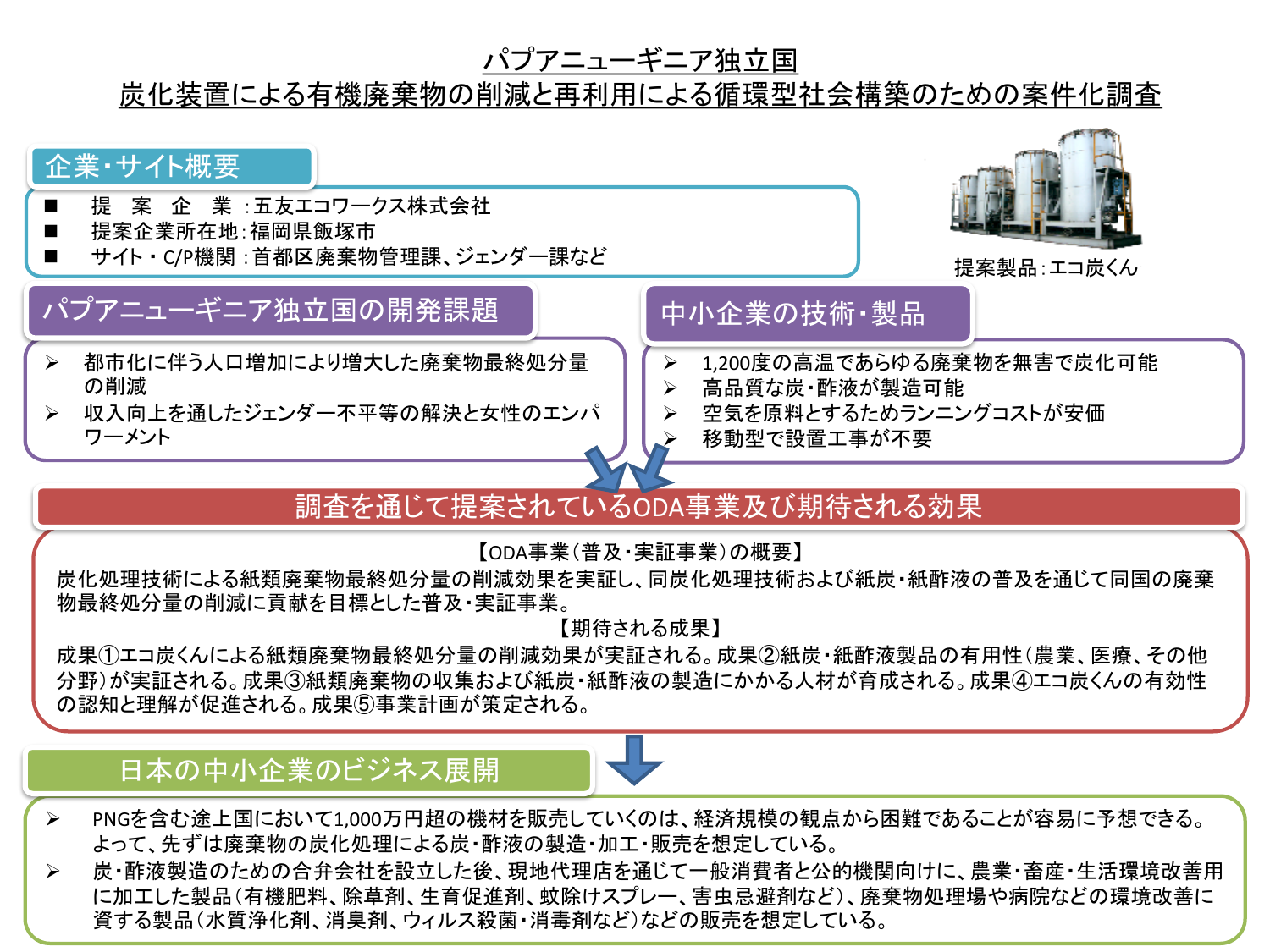#### パプアニューギニア独立国

#### 炭化装置による有機廃棄物の削減と再利用による循環型社会構築のための案件化調査



# 調査を通じて提案されているODA事業及び期待される効果

【ODA事業(普及・実証事業)の概要】

炭化処理技術による紙類廃棄物最終処分量の削減効果を実証し、同炭化処理技術および紙炭・紙酢液の普及を通じて同国の廃棄 物最終処分量の削減に貢献を目標とした普及・実証事業。

【期待される成果】

成果①エコ炭くんによる紙類廃棄物最終処分量の削減効果が実証される。成果②紙炭・紙酢液製品の有用性(農業、医療、その他 分野)が実証される。成果③紙類廃棄物の収集および紙炭・紙酢液の製造にかかる人材が育成される。成果④エコ炭くんの有効性 の認知と理解が促進される。成果⑤事業計画が策定される。

### 日本の中小企業のビジネス展開



- PNGを含む途上国において1,000万円超の機材を販売していくのは、経済規模の観点から困難であることが容易に予想できる。 よって、先ずは廃棄物の炭化処理による炭・酢液の製造・加工・販売を想定している。
- 炭・酢液製造のための合弁会社を設立した後、現地代理店を通じて一般消費者と公的機関向けに、農業・畜産・生活環境改善用 に加工した製品(有機肥料、除草剤、生育促進剤、蚊除けスプレー、害虫忌避剤など)、廃棄物処理場や病院などの環境改善に 資する製品(水質浄化剤、消臭剤、ウィルス殺菌・消毒剤など)などの販売を想定している。